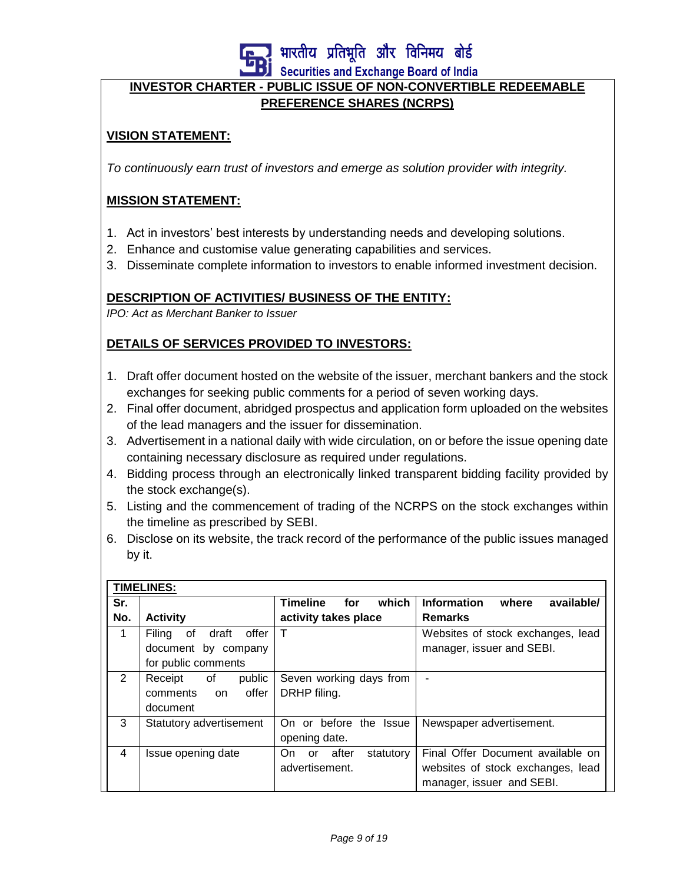भारतीय प्रतिभूति और विनिमय बोर्ड

### Securities and Exchange Board of India **INVESTOR CHARTER - PUBLIC ISSUE OF NON-CONVERTIBLE REDEEMABLE PREFERENCE SHARES (NCRPS)**

#### **VISION STATEMENT:**

*To continuously earn trust of investors and emerge as solution provider with integrity.*

#### **MISSION STATEMENT:**

- 1. Act in investors' best interests by understanding needs and developing solutions.
- 2. Enhance and customise value generating capabilities and services.
- 3. Disseminate complete information to investors to enable informed investment decision.

#### **DESCRIPTION OF ACTIVITIES/ BUSINESS OF THE ENTITY:**

*IPO: Act as Merchant Banker to Issuer* 

### **DETAILS OF SERVICES PROVIDED TO INVESTORS:**

- 1. Draft offer document hosted on the website of the issuer, merchant bankers and the stock exchanges for seeking public comments for a period of seven working days.
- 2. Final offer document, abridged prospectus and application form uploaded on the websites of the lead managers and the issuer for dissemination.
- 3. Advertisement in a national daily with wide circulation, on or before the issue opening date containing necessary disclosure as required under regulations.
- 4. Bidding process through an electronically linked transparent bidding facility provided by the stock exchange(s).
- 5. Listing and the commencement of trading of the NCRPS on the stock exchanges within the timeline as prescribed by SEBI.
- 6. Disclose on its website, the track record of the performance of the public issues managed by it.

| <b>TIMELINES:</b> |                                    |                                 |                                           |  |  |  |
|-------------------|------------------------------------|---------------------------------|-------------------------------------------|--|--|--|
| Sr.               |                                    | which<br><b>Timeline</b><br>for | <b>Information</b><br>available/<br>where |  |  |  |
| No.               | <b>Activity</b>                    | activity takes place            | <b>Remarks</b>                            |  |  |  |
| 1                 | offer<br>draft<br>οf<br>Filing     |                                 | Websites of stock exchanges, lead         |  |  |  |
|                   | document by company                |                                 | manager, issuer and SEBI.                 |  |  |  |
|                   | for public comments                |                                 |                                           |  |  |  |
| 2                 | public<br>Receipt<br>0f            | Seven working days from         |                                           |  |  |  |
|                   | offer<br>comments<br><sub>on</sub> | DRHP filing.                    |                                           |  |  |  |
|                   | document                           |                                 |                                           |  |  |  |
| 3                 | Statutory advertisement            | On or before the Issue          | Newspaper advertisement.                  |  |  |  |
|                   |                                    | opening date.                   |                                           |  |  |  |
| 4                 | Issue opening date                 | after<br>statutory<br>On.<br>or | Final Offer Document available on         |  |  |  |
|                   |                                    | advertisement.                  | websites of stock exchanges, lead         |  |  |  |
|                   |                                    |                                 | manager, issuer and SEBI.                 |  |  |  |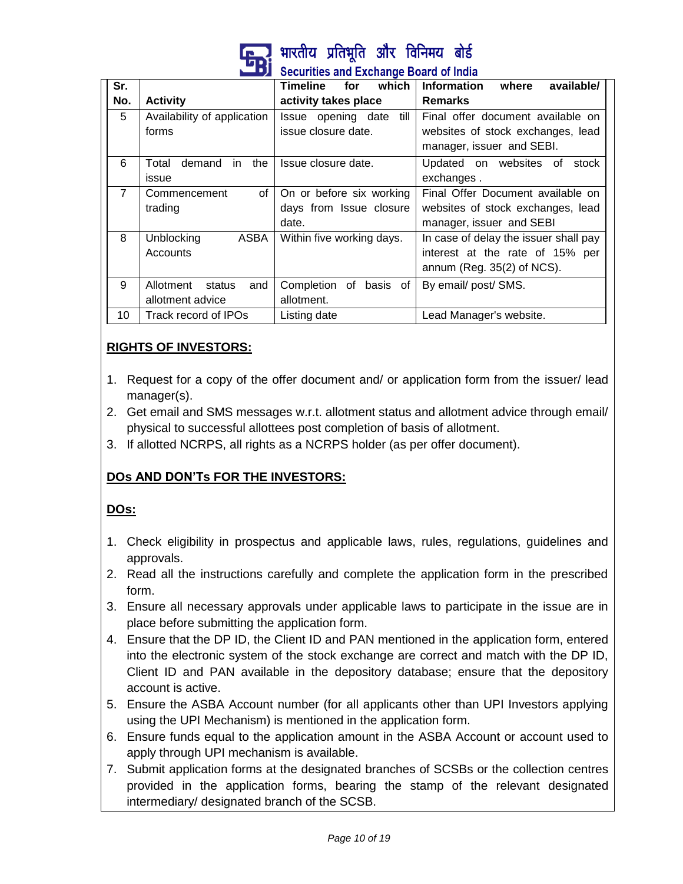

### भारतीय प्रतिभति और विनिमय बोर्ड ecurities and Exchange Board of India

| Sr.            |                               | which<br><b>Timeline</b><br>for | <b>Information</b><br>available/<br>where |  |  |
|----------------|-------------------------------|---------------------------------|-------------------------------------------|--|--|
| No.            | <b>Activity</b>               | activity takes place            | <b>Remarks</b>                            |  |  |
| 5              | Availability of application   | Issue opening date<br>till      | Final offer document available on         |  |  |
|                | forms                         | issue closure date.             | websites of stock exchanges, lead         |  |  |
|                |                               |                                 | manager, issuer and SEBI.                 |  |  |
| 6              | demand<br>the<br>Total<br>in. | Issue closure date.             | Updated on websites of stock              |  |  |
|                | issue                         |                                 | exchanges.                                |  |  |
| $\overline{7}$ | of<br>Commencement            | On or before six working        | Final Offer Document available on         |  |  |
|                | trading                       | days from Issue closure         | websites of stock exchanges, lead         |  |  |
|                |                               | date.                           | manager, issuer and SEBI                  |  |  |
| 8              | Unblocking<br>ASBA            | Within five working days.       | In case of delay the issuer shall pay     |  |  |
|                | Accounts                      |                                 | interest at the rate of 15% per           |  |  |
|                |                               |                                 | annum (Reg. $35(2)$ of NCS).              |  |  |
| 9              | Allotment<br>and<br>status    | Completion<br>basis of<br>оf    | By email/ post/ SMS.                      |  |  |
|                | allotment advice              | allotment.                      |                                           |  |  |
| 10             | Track record of IPOs          | Listing date                    | Lead Manager's website.                   |  |  |

# **RIGHTS OF INVESTORS:**

- 1. Request for a copy of the offer document and/ or application form from the issuer/ lead manager(s).
- 2. Get email and SMS messages w.r.t. allotment status and allotment advice through email/ physical to successful allottees post completion of basis of allotment.
- 3. If allotted NCRPS, all rights as a NCRPS holder (as per offer document).

# **DOs AND DON'Ts FOR THE INVESTORS:**

# **DOs:**

- 1. Check eligibility in prospectus and applicable laws, rules, regulations, guidelines and approvals.
- 2. Read all the instructions carefully and complete the application form in the prescribed form.
- 3. Ensure all necessary approvals under applicable laws to participate in the issue are in place before submitting the application form.
- 4. Ensure that the DP ID, the Client ID and PAN mentioned in the application form, entered into the electronic system of the stock exchange are correct and match with the DP ID, Client ID and PAN available in the depository database; ensure that the depository account is active.
- 5. Ensure the ASBA Account number (for all applicants other than UPI Investors applying using the UPI Mechanism) is mentioned in the application form.
- 6. Ensure funds equal to the application amount in the ASBA Account or account used to apply through UPI mechanism is available.
- 7. Submit application forms at the designated branches of SCSBs or the collection centres provided in the application forms, bearing the stamp of the relevant designated intermediary/ designated branch of the SCSB.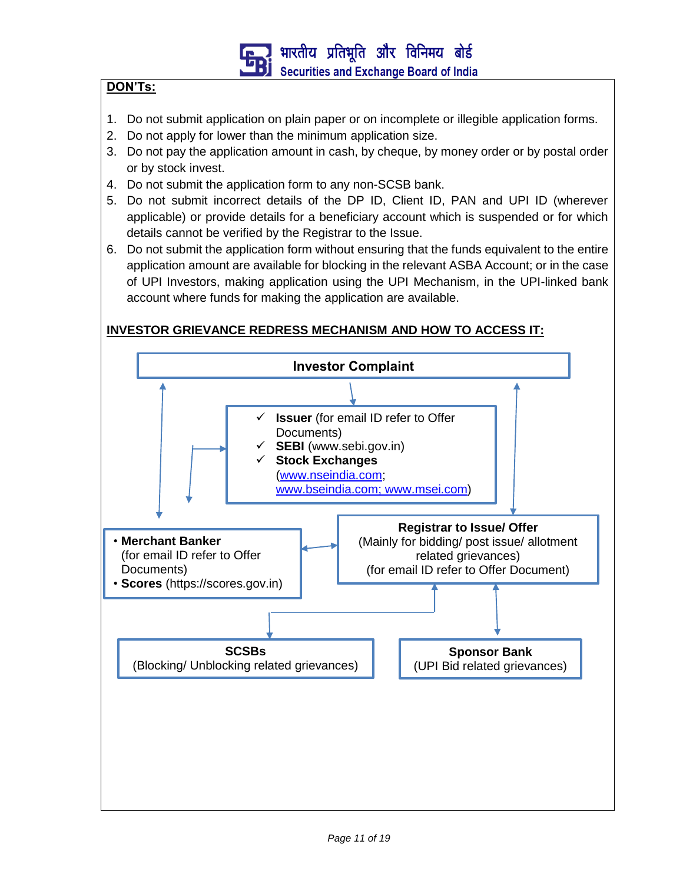

### **DON'Ts:**

- 1. Do not submit application on plain paper or on incomplete or illegible application forms.
- 2. Do not apply for lower than the minimum application size.
- 3. Do not pay the application amount in cash, by cheque, by money order or by postal order or by stock invest.
- 4. Do not submit the application form to any non-SCSB bank.
- 5. Do not submit incorrect details of the DP ID, Client ID, PAN and UPI ID (wherever applicable) or provide details for a beneficiary account which is suspended or for which details cannot be verified by the Registrar to the Issue.
- 6. Do not submit the application form without ensuring that the funds equivalent to the entire application amount are available for blocking in the relevant ASBA Account; or in the case of UPI Investors, making application using the UPI Mechanism, in the UPI-linked bank account where funds for making the application are available.

# **INVESTOR GRIEVANCE REDRESS MECHANISM AND HOW TO ACCESS IT:**

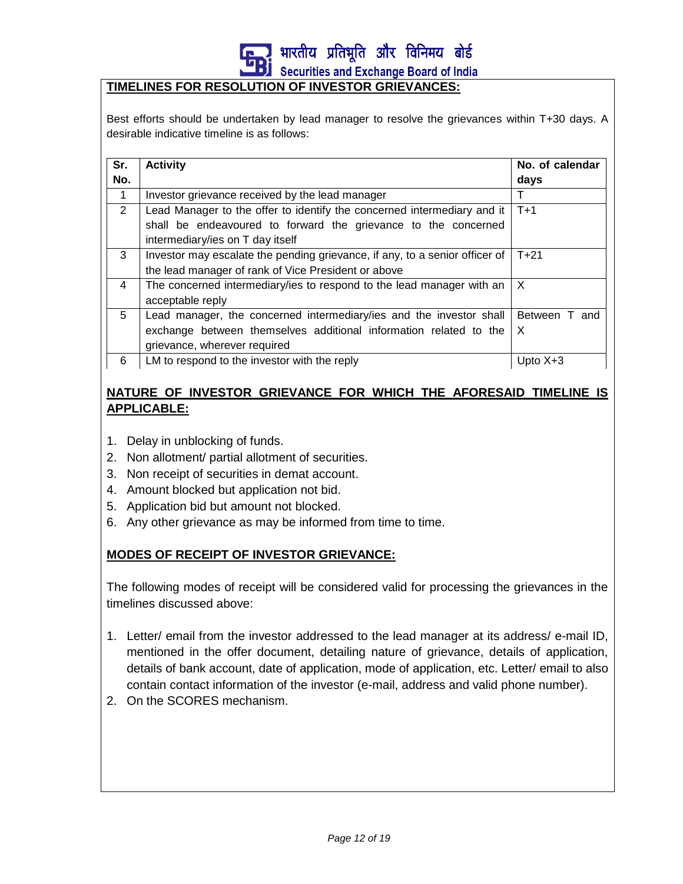

#### **TIMELINES FOR RESOLUTION OF INVESTOR GRIEVANCES:**

Best efforts should be undertaken by lead manager to resolve the grievances within T+30 days. A desirable indicative timeline is as follows:

| Sr. | <b>Activity</b>                                                             | No. of calendar |
|-----|-----------------------------------------------------------------------------|-----------------|
| No. |                                                                             | days            |
| -1  | Investor grievance received by the lead manager                             | т               |
| 2   | Lead Manager to the offer to identify the concerned intermediary and it     | $T+1$           |
|     | shall be endeavoured to forward the grievance to the concerned              |                 |
|     | intermediary/ies on T day itself                                            |                 |
| 3   | Investor may escalate the pending grievance, if any, to a senior officer of | $T + 21$        |
|     | the lead manager of rank of Vice President or above                         |                 |
| 4   | The concerned intermediary/ies to respond to the lead manager with an       | $\mathsf{X}$    |
|     | acceptable reply                                                            |                 |
| 5   | Lead manager, the concerned intermediary/ies and the investor shall         | Between T and   |
|     | exchange between themselves additional information related to the           | X               |
|     | grievance, wherever required                                                |                 |
| 6   | LM to respond to the investor with the reply                                | Upto $X+3$      |

### **NATURE OF INVESTOR GRIEVANCE FOR WHICH THE AFORESAID TIMELINE IS APPLICABLE:**

- 1. Delay in unblocking of funds.
- 2. Non allotment/ partial allotment of securities.
- 3. Non receipt of securities in demat account.
- 4. Amount blocked but application not bid.
- 5. Application bid but amount not blocked.
- 6. Any other grievance as may be informed from time to time.

### **MODES OF RECEIPT OF INVESTOR GRIEVANCE:**

The following modes of receipt will be considered valid for processing the grievances in the timelines discussed above:

- 1. Letter/ email from the investor addressed to the lead manager at its address/ e-mail ID, mentioned in the offer document, detailing nature of grievance, details of application, details of bank account, date of application, mode of application, etc. Letter/ email to also contain contact information of the investor (e-mail, address and valid phone number).
- 2. On the SCORES mechanism.